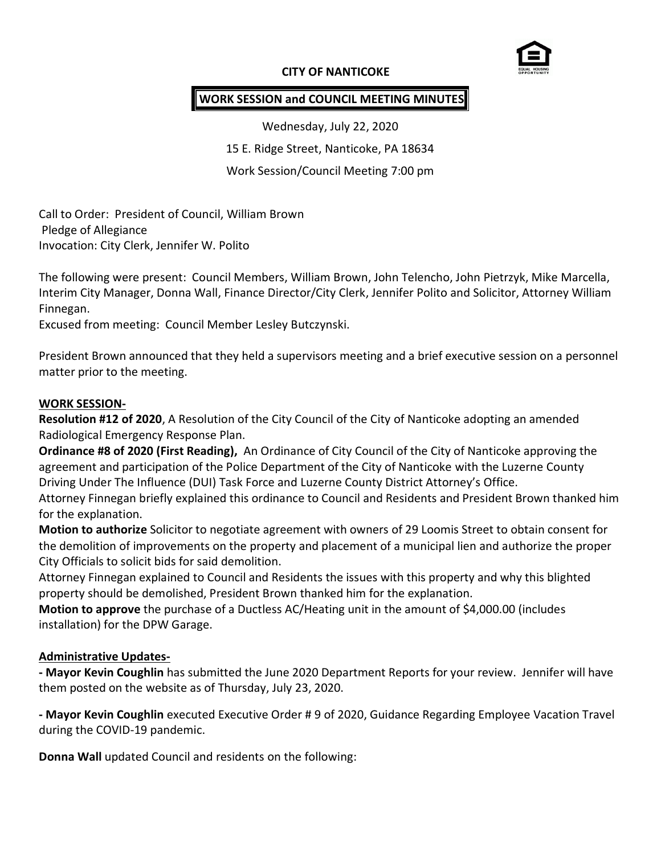## **CITY OF NANTICOKE**



## **WORK SESSION and COUNCIL MEETING MINUTES**

Wednesday, July 22, 2020 15 E. Ridge Street, Nanticoke, PA 18634 Work Session/Council Meeting 7:00 pm

Call to Order: President of Council, William Brown Pledge of Allegiance Invocation: City Clerk, Jennifer W. Polito

The following were present: Council Members, William Brown, John Telencho, John Pietrzyk, Mike Marcella, Interim City Manager, Donna Wall, Finance Director/City Clerk, Jennifer Polito and Solicitor, Attorney William Finnegan.

Excused from meeting: Council Member Lesley Butczynski.

President Brown announced that they held a supervisors meeting and a brief executive session on a personnel matter prior to the meeting.

#### **WORK SESSION-**

**Resolution #12 of 2020**, A Resolution of the City Council of the City of Nanticoke adopting an amended Radiological Emergency Response Plan.

**Ordinance #8 of 2020 (First Reading),** An Ordinance of City Council of the City of Nanticoke approving the agreement and participation of the Police Department of the City of Nanticoke with the Luzerne County Driving Under The Influence (DUI) Task Force and Luzerne County District Attorney's Office.

Attorney Finnegan briefly explained this ordinance to Council and Residents and President Brown thanked him for the explanation.

**Motion to authorize** Solicitor to negotiate agreement with owners of 29 Loomis Street to obtain consent for the demolition of improvements on the property and placement of a municipal lien and authorize the proper City Officials to solicit bids for said demolition.

Attorney Finnegan explained to Council and Residents the issues with this property and why this blighted property should be demolished, President Brown thanked him for the explanation.

**Motion to approve** the purchase of a Ductless AC/Heating unit in the amount of \$4,000.00 (includes installation) for the DPW Garage.

#### **Administrative Updates-**

**- Mayor Kevin Coughlin** has submitted the June 2020 Department Reports for your review. Jennifer will have them posted on the website as of Thursday, July 23, 2020.

**- Mayor Kevin Coughlin** executed Executive Order # 9 of 2020, Guidance Regarding Employee Vacation Travel during the COVID-19 pandemic.

**Donna Wall** updated Council and residents on the following: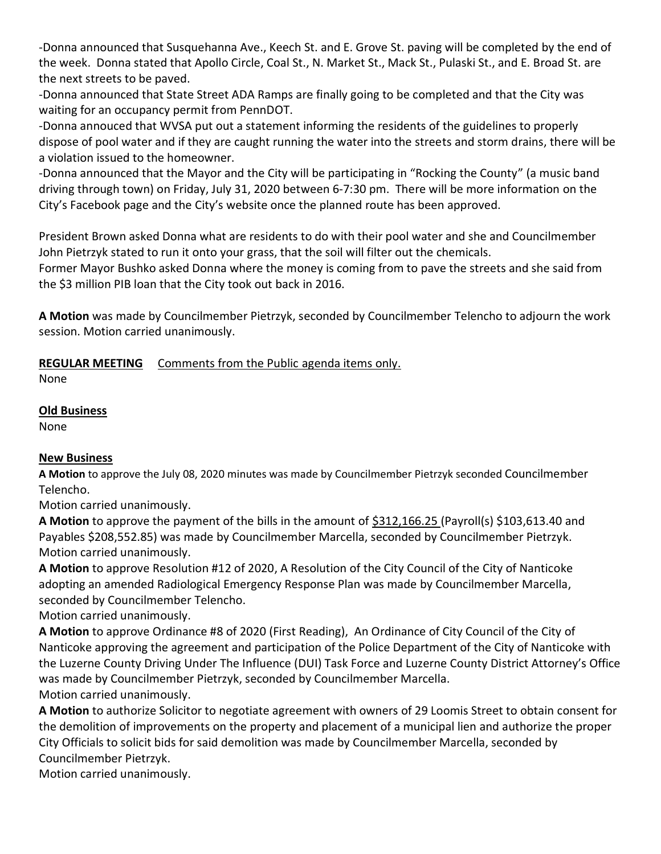-Donna announced that Susquehanna Ave., Keech St. and E. Grove St. paving will be completed by the end of the week. Donna stated that Apollo Circle, Coal St., N. Market St., Mack St., Pulaski St., and E. Broad St. are the next streets to be paved.

-Donna announced that State Street ADA Ramps are finally going to be completed and that the City was waiting for an occupancy permit from PennDOT.

-Donna annouced that WVSA put out a statement informing the residents of the guidelines to properly dispose of pool water and if they are caught running the water into the streets and storm drains, there will be a violation issued to the homeowner.

-Donna announced that the Mayor and the City will be participating in "Rocking the County" (a music band driving through town) on Friday, July 31, 2020 between 6-7:30 pm. There will be more information on the City's Facebook page and the City's website once the planned route has been approved.

President Brown asked Donna what are residents to do with their pool water and she and Councilmember John Pietrzyk stated to run it onto your grass, that the soil will filter out the chemicals.

Former Mayor Bushko asked Donna where the money is coming from to pave the streets and she said from the \$3 million PIB loan that the City took out back in 2016.

**A Motion** was made by Councilmember Pietrzyk, seconded by Councilmember Telencho to adjourn the work session. Motion carried unanimously.

# **REGULAR MEETING** Comments from the Public agenda items only.

None

## **Old Business**

None

# **New Business**

**A Motion** to approve the July 08, 2020 minutes was made by Councilmember Pietrzyk seconded Councilmember Telencho.

Motion carried unanimously.

**A Motion** to approve the payment of the bills in the amount of \$312,166.25 (Payroll(s) \$103,613.40 and Payables \$208,552.85) was made by Councilmember Marcella, seconded by Councilmember Pietrzyk. Motion carried unanimously.

**A Motion** to approve Resolution #12 of 2020, A Resolution of the City Council of the City of Nanticoke adopting an amended Radiological Emergency Response Plan was made by Councilmember Marcella, seconded by Councilmember Telencho.

Motion carried unanimously.

**A Motion** to approve Ordinance #8 of 2020 (First Reading),An Ordinance of City Council of the City of Nanticoke approving the agreement and participation of the Police Department of the City of Nanticoke with the Luzerne County Driving Under The Influence (DUI) Task Force and Luzerne County District Attorney's Office was made by Councilmember Pietrzyk, seconded by Councilmember Marcella. Motion carried unanimously.

**A Motion** to authorize Solicitor to negotiate agreement with owners of 29 Loomis Street to obtain consent for the demolition of improvements on the property and placement of a municipal lien and authorize the proper City Officials to solicit bids for said demolition was made by Councilmember Marcella, seconded by Councilmember Pietrzyk.

Motion carried unanimously.